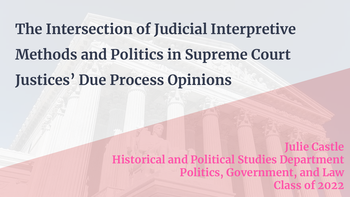# **The Intersection of Judicial Interpretive Methods and Politics in Supreme Court Justices' Due Process Opinions**

**Julie Castle Historical and Political Studies Department Politics, Government, and Law Class of 2022**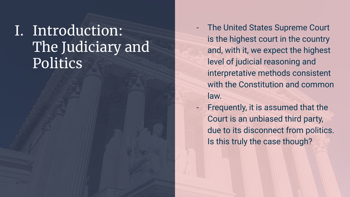### I. Introduction: The Judiciary and Politics

- The United States Supreme Court is the highest court in the country and, with it, we expect the highest level of judicial reasoning and interpretative methods consistent with the Constitution and common law.
- Frequently, it is assumed that the Court is an unbiased third party, due to its disconnect from politics. Is this truly the case though?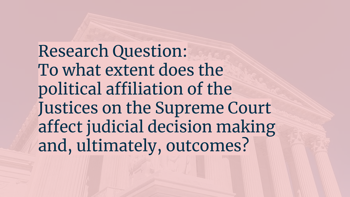Research Question: To what extent does the political affiliation of the Justices on the Supreme Court affect judicial decision making and, ultimately, outcomes?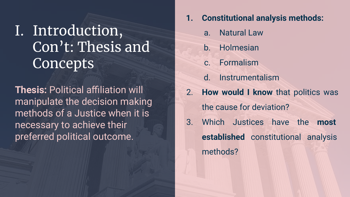## I. Introduction, Con't: Thesis and **Concepts**

**Thesis:** Political affiliation will manipulate the decision making methods of a Justice when it is necessary to achieve their preferred political outcome.

- **1. Constitutional analysis methods:** 
	- a. Natural Law
	- b. Holmesian
	- c. Formalism
	- d. Instrumentalism
- 2. **How would I know** that politics was the cause for deviation?
- 3. Which Justices have the **most established** constitutional analysis methods?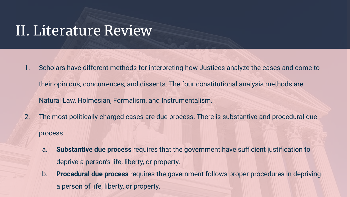### II. Literature Review

- 1. Scholars have different methods for interpreting how Justices analyze the cases and come to their opinions, concurrences, and dissents. The four constitutional analysis methods are Natural Law, Holmesian, Formalism, and Instrumentalism.
- 2. The most politically charged cases are due process. There is substantive and procedural due process.
	- a. **Substantive due process** requires that the government have sufficient justification to deprive a person's life, liberty, or property.
	- b. **Procedural due process** requires the government follows proper procedures in depriving a person of life, liberty, or property.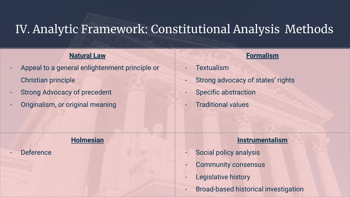### IV. Analytic Framework: Constitutional Analysis Methods

#### **Natural Law**

- Appeal to a general enlightenment principle or Christian principle
- Strong Advocacy of precedent
- Originalism, or original meaning

#### **Holmesian**

**Deference** 

#### **Formalism**

- **Textualism**
- Strong advocacy of states' rights
- Specific abstraction
- Traditional values

#### **Instrumentalism**

- Social policy analysis
- Community consensus
- Legislative history
- Broad-based historical investigation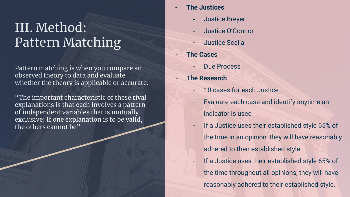### III. Method: Pattern Matching

Pattern matching is when you compare an observed theory to data and evaluate whether the theory is applicable or accurate.

"The important characteristic of these rival explanations is that each involves a pattern of independent variables that is mutually exclusive: If one explanation is to be valid, the others cannot be"

- **- The Justices** 
	- **-** Justice Breyer
	- **-** Justice O'Connor
	- **-** Justice Scalia
- **The Cases** 
	- Due Process
- **The Research** 
	- 10 cases for each Justice
	- Evaluate each case and identify anytime an indicator is used
	- If a Justice uses their established style 65% of the time in an opinion, they will have reasonably adhered to their established style.
		- If a Justice uses their established style 65% of the time throughout all opinions, they will have reasonably adhered to their established style.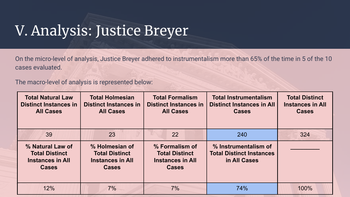## V. Analysis: Justice Breyer

On the micro-level of analysis, Justice Breyer adhered to instrumentalism more than 65% of the time in 5 of the 10 cases evaluated.

The macro-level of analysis is represented below:

| <b>Total Natural Law</b><br><b>Distinct Instances in</b><br><b>All Cases</b>         | <b>Total Holmesian</b><br><b>Distinct Instances in</b><br><b>All Cases</b>         | <b>Total Formalism</b><br><b>Distinct Instances in</b><br><b>All Cases</b>         | <b>Total Instrumentalism</b><br><b>Distinct Instances in All</b><br><b>Cases</b> | <b>Total Distinct</b><br><b>Instances in All</b><br><b>Cases</b> |
|--------------------------------------------------------------------------------------|------------------------------------------------------------------------------------|------------------------------------------------------------------------------------|----------------------------------------------------------------------------------|------------------------------------------------------------------|
| 39                                                                                   | 23                                                                                 | 22                                                                                 | 240                                                                              | 324                                                              |
| % Natural Law of<br><b>Total Distinct</b><br><b>Instances in All</b><br><b>Cases</b> | % Holmesian of<br><b>Total Distinct</b><br><b>Instances in All</b><br><b>Cases</b> | % Formalism of<br><b>Total Distinct</b><br><b>Instances in All</b><br><b>Cases</b> | % Instrumentalism of<br><b>Total Distinct Instances</b><br>in All Cases          |                                                                  |
| 12%                                                                                  | 7%                                                                                 | 7%                                                                                 | 74%                                                                              | 100%                                                             |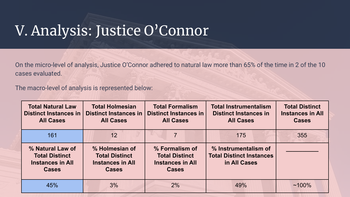## V. Analysis: Justice O'Connor

On the micro-level of analysis, Justice O'Connor adhered to natural law more than 65% of the time in 2 of the 10 cases evaluated.

The macro-level of analysis is represented below:

| <b>Total Natural Law</b><br><b>Distinct Instances in</b><br><b>All Cases</b>         | <b>Total Holmesian</b><br><b>Distinct Instances in</b><br><b>All Cases</b>         | <b>Total Formalism</b><br><b>Distinct Instances in</b><br><b>All Cases</b>         | <b>Total Instrumentalism</b><br><b>Distinct Instances in</b><br><b>All Cases</b> |          |
|--------------------------------------------------------------------------------------|------------------------------------------------------------------------------------|------------------------------------------------------------------------------------|----------------------------------------------------------------------------------|----------|
| 161                                                                                  | 12                                                                                 |                                                                                    | 175                                                                              | 355      |
| % Natural Law of<br><b>Total Distinct</b><br><b>Instances in All</b><br><b>Cases</b> | % Holmesian of<br><b>Total Distinct</b><br><b>Instances in All</b><br><b>Cases</b> | % Formalism of<br><b>Total Distinct</b><br><b>Instances in All</b><br><b>Cases</b> | % Instrumentalism of<br><b>Total Distinct Instances</b><br>in All Cases          |          |
| 45%                                                                                  | 3%                                                                                 | 2%                                                                                 | 49%                                                                              | $~100\%$ |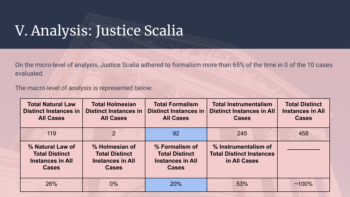## V. Analysis: Justice Scalia

On the micro-level of analysis, Justice Scalia adhered to formalism more than 65% of the time in 0 of the 10 cases evaluated.

The macro-level of analysis is represented below:

| <b>Total Natural Law</b><br><b>Distinct Instances in</b><br><b>All Cases</b>         | <b>Total Holmesian</b><br><b>Distinct Instances in</b><br><b>All Cases</b>         | <b>Total Formalism</b><br><b>Distinct Instances in</b><br><b>All Cases</b>         | <b>Total Instrumentalism</b><br><b>Distinct Instances in All</b><br><b>Cases</b> |          |
|--------------------------------------------------------------------------------------|------------------------------------------------------------------------------------|------------------------------------------------------------------------------------|----------------------------------------------------------------------------------|----------|
| 119                                                                                  | 2                                                                                  | 92                                                                                 | 245                                                                              | 458      |
| % Natural Law of<br><b>Total Distinct</b><br><b>Instances in All</b><br><b>Cases</b> | % Holmesian of<br><b>Total Distinct</b><br><b>Instances in All</b><br><b>Cases</b> | % Formalism of<br><b>Total Distinct</b><br><b>Instances in All</b><br><b>Cases</b> | % Instrumentalism of<br><b>Total Distinct Instances</b><br>in All Cases          |          |
| 26%                                                                                  | $0\%$                                                                              | <b>20%</b>                                                                         | 53%                                                                              | $~100\%$ |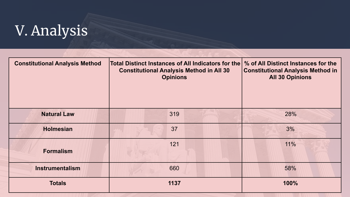# V. Analysis

| <b>Constitutional Analysis Method</b> | Total Distinct Instances of All Indicators for the<br><b>Constitutional Analysis Method in All 30</b><br><b>Opinions</b> | % of All Distinct Instances for the<br><b>Constitutional Analysis Method in</b><br><b>All 30 Opinions</b> |
|---------------------------------------|--------------------------------------------------------------------------------------------------------------------------|-----------------------------------------------------------------------------------------------------------|
| <b>Natural Law</b>                    | 319                                                                                                                      | 28%                                                                                                       |
| <b>Holmesian</b>                      | 37                                                                                                                       | 3%                                                                                                        |
| <b>Formalism</b>                      | 121                                                                                                                      | 11%                                                                                                       |
| <b>Instrumentalism</b>                | 660                                                                                                                      | 58%                                                                                                       |
| <b>Totals</b>                         | 1137                                                                                                                     | 100%                                                                                                      |